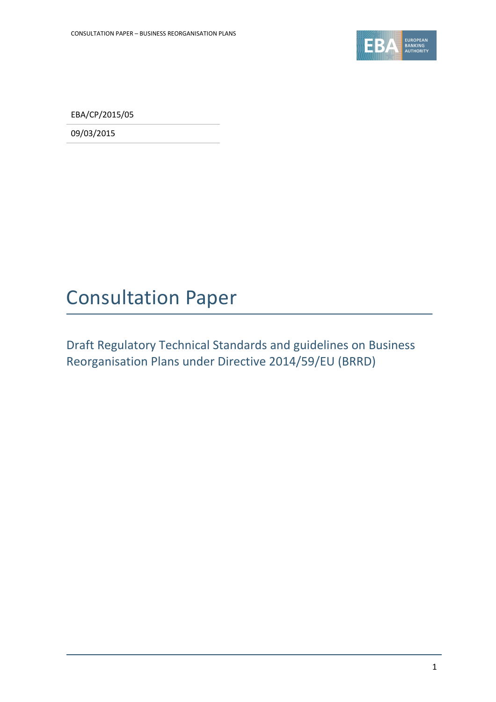

EBA/CP/2015/05

09/03/2015

# Consultation Paper

Draft Regulatory Technical Standards and guidelines on Business Reorganisation Plans under Directive 2014/59/EU (BRRD)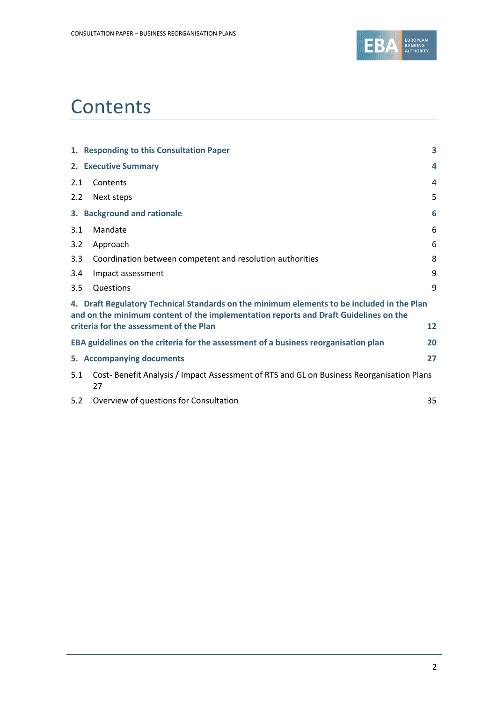

# **Contents**

|     | 1. Responding to this Consultation Paper                                                                                                                                                                                      | 3  |
|-----|-------------------------------------------------------------------------------------------------------------------------------------------------------------------------------------------------------------------------------|----|
|     | 2. Executive Summary                                                                                                                                                                                                          | 4  |
| 2.1 | Contents                                                                                                                                                                                                                      | 4  |
| 2.2 | Next steps                                                                                                                                                                                                                    | 5  |
|     | 3. Background and rationale                                                                                                                                                                                                   | 6  |
| 3.1 | Mandate                                                                                                                                                                                                                       | 6  |
| 3.2 | Approach                                                                                                                                                                                                                      | 6  |
| 3.3 | Coordination between competent and resolution authorities                                                                                                                                                                     | 8  |
| 3.4 | Impact assessment                                                                                                                                                                                                             | 9  |
| 3.5 | Questions                                                                                                                                                                                                                     | 9  |
|     | 4. Draft Regulatory Technical Standards on the minimum elements to be included in the Plan<br>and on the minimum content of the implementation reports and Draft Guidelines on the<br>criteria for the assessment of the Plan | 12 |
|     | EBA guidelines on the criteria for the assessment of a business reorganisation plan                                                                                                                                           | 20 |
|     | 5. Accompanying documents                                                                                                                                                                                                     | 27 |
| 5.1 | Cost-Benefit Analysis / Impact Assessment of RTS and GL on Business Reorganisation Plans<br>27                                                                                                                                |    |
| 5.2 | Overview of questions for Consultation                                                                                                                                                                                        | 35 |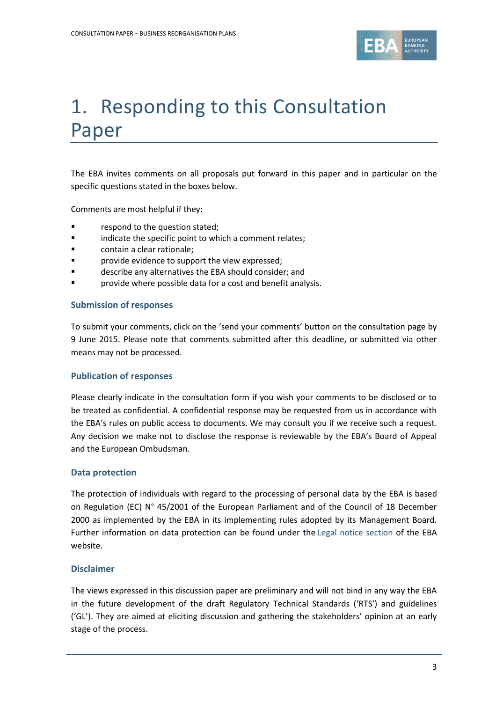

# 1. Responding to this Consultation Paper

The EBA invites comments on all proposals put forward in this paper and in particular on the specific questions stated in the boxes below.

Comments are most helpful if they:

- **F** respond to the question stated;
- **Example 3** indicate the specific point to which a comment relates;
- **Example 2** contain a clear rationale;
- **Part Exercise Exercise is upport the view expressed;**
- describe any alternatives the EBA should consider; and
- provide where possible data for a cost and benefit analysis.

#### **Submission of responses**

To submit your comments, click on the 'send your comments' button on the consultation page by 9 June 2015. Please note that comments submitted after this deadline, or submitted via other means may not be processed.

#### **Publication of responses**

Please clearly indicate in the consultation form if you wish your comments to be disclosed or to be treated as confidential. A confidential response may be requested from us in accordance with the EBA's rules on public access to documents. We may consult you if we receive such a request. Any decision we make not to disclose the response is reviewable by the EBA's Board of Appeal and the European Ombudsman.

#### **Data protection**

The protection of individuals with regard to the processing of personal data by the EBA is based on Regulation (EC) N° 45/2001 of the European Parliament and of the Council of 18 December 2000 as implemented by the EBA in its implementing rules adopted by its Management Board. Further information on data protection can be found under the [Legal notice section](http://eba.europa.eu/legal-notice) of the EBA website.

#### **Disclaimer**

The views expressed in this discussion paper are preliminary and will not bind in any way the EBA in the future development of the draft Regulatory Technical Standards ('RTS') and guidelines ('GL'). They are aimed at eliciting discussion and gathering the stakeholders' opinion at an early stage of the process.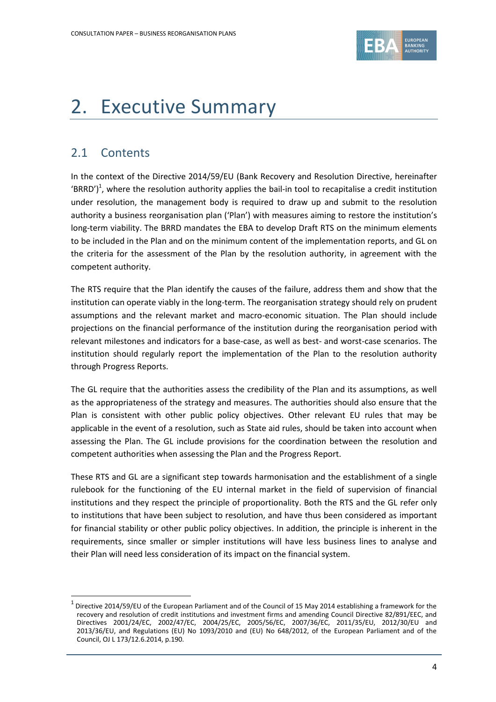

# 2. Executive Summary

# 2.1 Contents

1

In the context of the Directive 2014/59/EU (Bank Recovery and Resolution Directive, hereinafter 'BRRD')<sup>1</sup>, where the resolution authority applies the bail-in tool to recapitalise a credit institution under resolution, the management body is required to draw up and submit to the resolution authority a business reorganisation plan ('Plan') with measures aiming to restore the institution's long-term viability. The BRRD mandates the EBA to develop Draft RTS on the minimum elements to be included in the Plan and on the minimum content of the implementation reports, and GL on the criteria for the assessment of the Plan by the resolution authority, in agreement with the competent authority.

The RTS require that the Plan identify the causes of the failure, address them and show that the institution can operate viably in the long-term. The reorganisation strategy should rely on prudent assumptions and the relevant market and macro-economic situation. The Plan should include projections on the financial performance of the institution during the reorganisation period with relevant milestones and indicators for a base-case, as well as best- and worst-case scenarios. The institution should regularly report the implementation of the Plan to the resolution authority through Progress Reports.

The GL require that the authorities assess the credibility of the Plan and its assumptions, as well as the appropriateness of the strategy and measures. The authorities should also ensure that the Plan is consistent with other public policy objectives. Other relevant EU rules that may be applicable in the event of a resolution, such as State aid rules, should be taken into account when assessing the Plan. The GL include provisions for the coordination between the resolution and competent authorities when assessing the Plan and the Progress Report.

These RTS and GL are a significant step towards harmonisation and the establishment of a single rulebook for the functioning of the EU internal market in the field of supervision of financial institutions and they respect the principle of proportionality. Both the RTS and the GL refer only to institutions that have been subject to resolution, and have thus been considered as important for financial stability or other public policy objectives. In addition, the principle is inherent in the requirements, since smaller or simpler institutions will have less business lines to analyse and their Plan will need less consideration of its impact on the financial system.

 $^1$  Directive 2014/59/EU of the European Parliament and of the Council of 15 May 2014 establishing a framework for the recovery and resolution of credit institutions and investment firms and amending Council Directive 82/891/EEC, and Directives 2001/24/EC, 2002/47/EC, 2004/25/EC, 2005/56/EC, 2007/36/EC, 2011/35/EU, 2012/30/EU and 2013/36/EU, and Regulations (EU) No 1093/2010 and (EU) No 648/2012, of the European Parliament and of the Council, OJ L 173/12.6.2014, p.190.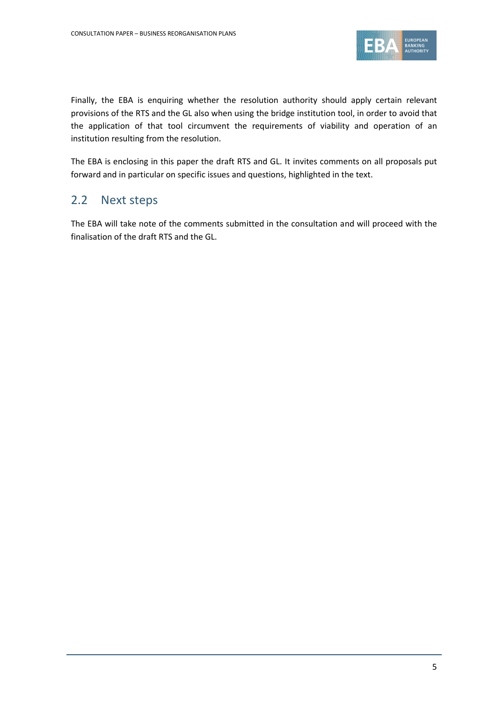

Finally, the EBA is enquiring whether the resolution authority should apply certain relevant provisions of the RTS and the GL also when using the bridge institution tool, in order to avoid that the application of that tool circumvent the requirements of viability and operation of an institution resulting from the resolution.

The EBA is enclosing in this paper the draft RTS and GL. It invites comments on all proposals put forward and in particular on specific issues and questions, highlighted in the text.

# 2.2 Next steps

The EBA will take note of the comments submitted in the consultation and will proceed with the finalisation of the draft RTS and the GL.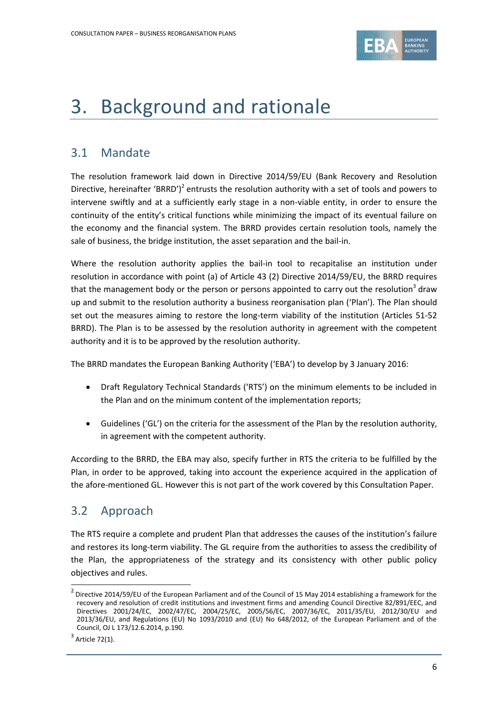

# 3. Background and rationale

# 3.1 Mandate

The resolution framework laid down in Directive 2014/59/EU (Bank Recovery and Resolution Directive, hereinafter 'BRRD')<sup>2</sup> entrusts the resolution authority with a set of tools and powers to intervene swiftly and at a sufficiently early stage in a non-viable entity, in order to ensure the continuity of the entity's critical functions while minimizing the impact of its eventual failure on the economy and the financial system. The BRRD provides certain resolution tools, namely the sale of business, the bridge institution, the asset separation and the bail-in.

Where the resolution authority applies the bail-in tool to recapitalise an institution under resolution in accordance with point (a) of Article 43 (2) Directive 2014/59/EU, the BRRD requires that the management body or the person or persons appointed to carry out the resolution<sup>3</sup> draw up and submit to the resolution authority a business reorganisation plan ('Plan'). The Plan should set out the measures aiming to restore the long-term viability of the institution (Articles 51-52 BRRD). The Plan is to be assessed by the resolution authority in agreement with the competent authority and it is to be approved by the resolution authority.

The BRRD mandates the European Banking Authority ('EBA') to develop by 3 January 2016:

- Draft Regulatory Technical Standards ('RTS') on the minimum elements to be included in the Plan and on the minimum content of the implementation reports;
- Guidelines ('GL') on the criteria for the assessment of the Plan by the resolution authority, in agreement with the competent authority.

According to the BRRD, the EBA may also, specify further in RTS the criteria to be fulfilled by the Plan, in order to be approved, taking into account the experience acquired in the application of the afore-mentioned GL. However this is not part of the work covered by this Consultation Paper.

# 3.2 Approach

The RTS require a complete and prudent Plan that addresses the causes of the institution's failure and restores its long-term viability. The GL require from the authorities to assess the credibility of the Plan, the appropriateness of the strategy and its consistency with other public policy objectives and rules.

1

 $^2$  Directive 2014/59/EU of the European Parliament and of the Council of 15 May 2014 establishing a framework for the recovery and resolution of credit institutions and investment firms and amending Council Directive 82/891/EEC, and Directives 2001/24/EC, 2002/47/EC, 2004/25/EC, 2005/56/EC, 2007/36/EC, 2011/35/EU, 2012/30/EU and 2013/36/EU, and Regulations (EU) No 1093/2010 and (EU) No 648/2012, of the European Parliament and of the Council, OJ L 173/12.6.2014, p.190.

 $3$  Article 72(1).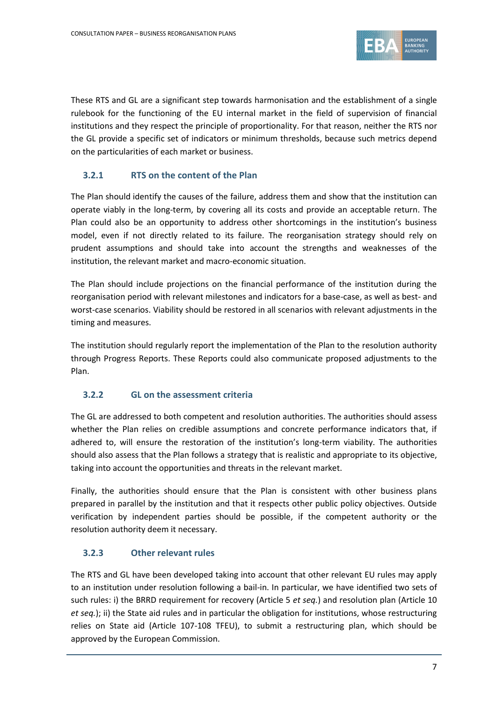

These RTS and GL are a significant step towards harmonisation and the establishment of a single rulebook for the functioning of the EU internal market in the field of supervision of financial institutions and they respect the principle of proportionality. For that reason, neither the RTS nor the GL provide a specific set of indicators or minimum thresholds, because such metrics depend on the particularities of each market or business.

# **3.2.1 RTS on the content of the Plan**

The Plan should identify the causes of the failure, address them and show that the institution can operate viably in the long-term, by covering all its costs and provide an acceptable return. The Plan could also be an opportunity to address other shortcomings in the institution's business model, even if not directly related to its failure. The reorganisation strategy should rely on prudent assumptions and should take into account the strengths and weaknesses of the institution, the relevant market and macro-economic situation.

The Plan should include projections on the financial performance of the institution during the reorganisation period with relevant milestones and indicators for a base-case, as well as best- and worst-case scenarios. Viability should be restored in all scenarios with relevant adjustments in the timing and measures.

The institution should regularly report the implementation of the Plan to the resolution authority through Progress Reports. These Reports could also communicate proposed adjustments to the Plan.

#### **3.2.2 GL on the assessment criteria**

The GL are addressed to both competent and resolution authorities. The authorities should assess whether the Plan relies on credible assumptions and concrete performance indicators that, if adhered to, will ensure the restoration of the institution's long-term viability. The authorities should also assess that the Plan follows a strategy that is realistic and appropriate to its objective, taking into account the opportunities and threats in the relevant market.

Finally, the authorities should ensure that the Plan is consistent with other business plans prepared in parallel by the institution and that it respects other public policy objectives. Outside verification by independent parties should be possible, if the competent authority or the resolution authority deem it necessary.

# **3.2.3 Other relevant rules**

The RTS and GL have been developed taking into account that other relevant EU rules may apply to an institution under resolution following a bail-in. In particular, we have identified two sets of such rules: i) the BRRD requirement for recovery (Article 5 *et seq.*) and resolution plan (Article 10 *et seq.*); ii) the State aid rules and in particular the obligation for institutions, whose restructuring relies on State aid (Article 107-108 TFEU), to submit a restructuring plan, which should be approved by the European Commission.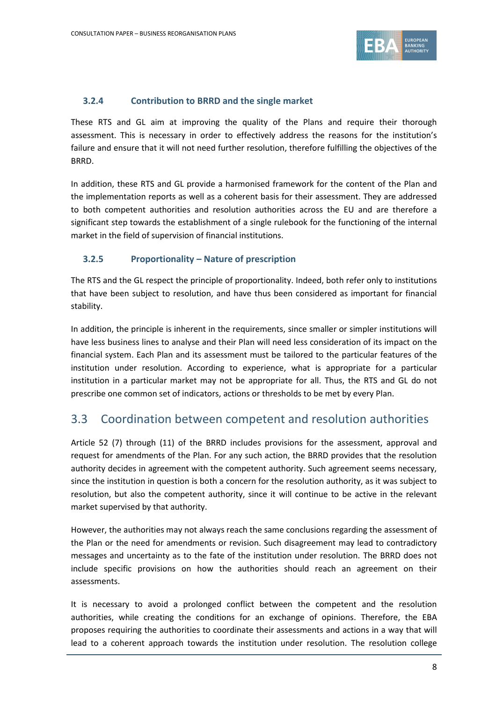

## **3.2.4 Contribution to BRRD and the single market**

These RTS and GL aim at improving the quality of the Plans and require their thorough assessment. This is necessary in order to effectively address the reasons for the institution's failure and ensure that it will not need further resolution, therefore fulfilling the objectives of the BRRD.

In addition, these RTS and GL provide a harmonised framework for the content of the Plan and the implementation reports as well as a coherent basis for their assessment. They are addressed to both competent authorities and resolution authorities across the EU and are therefore a significant step towards the establishment of a single rulebook for the functioning of the internal market in the field of supervision of financial institutions.

# **3.2.5 Proportionality – Nature of prescription**

The RTS and the GL respect the principle of proportionality. Indeed, both refer only to institutions that have been subject to resolution, and have thus been considered as important for financial stability.

In addition, the principle is inherent in the requirements, since smaller or simpler institutions will have less business lines to analyse and their Plan will need less consideration of its impact on the financial system. Each Plan and its assessment must be tailored to the particular features of the institution under resolution. According to experience, what is appropriate for a particular institution in a particular market may not be appropriate for all. Thus, the RTS and GL do not prescribe one common set of indicators, actions or thresholds to be met by every Plan.

# 3.3 Coordination between competent and resolution authorities

Article 52 (7) through (11) of the BRRD includes provisions for the assessment, approval and request for amendments of the Plan. For any such action, the BRRD provides that the resolution authority decides in agreement with the competent authority. Such agreement seems necessary, since the institution in question is both a concern for the resolution authority, as it was subject to resolution, but also the competent authority, since it will continue to be active in the relevant market supervised by that authority.

However, the authorities may not always reach the same conclusions regarding the assessment of the Plan or the need for amendments or revision. Such disagreement may lead to contradictory messages and uncertainty as to the fate of the institution under resolution. The BRRD does not include specific provisions on how the authorities should reach an agreement on their assessments.

It is necessary to avoid a prolonged conflict between the competent and the resolution authorities, while creating the conditions for an exchange of opinions. Therefore, the EBA proposes requiring the authorities to coordinate their assessments and actions in a way that will lead to a coherent approach towards the institution under resolution. The resolution college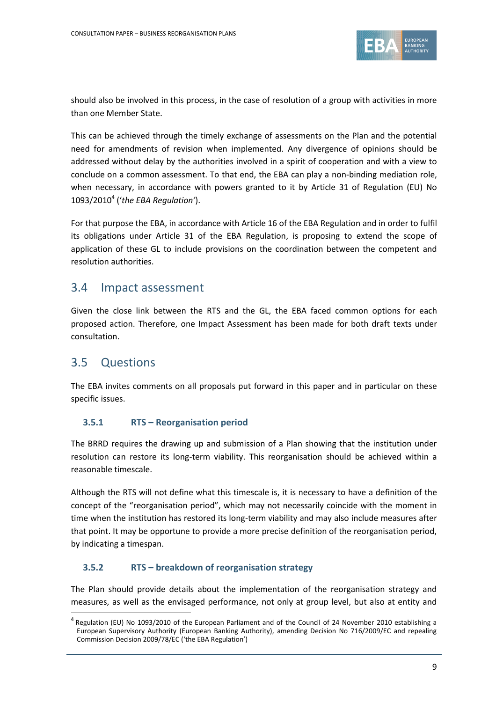

should also be involved in this process, in the case of resolution of a group with activities in more than one Member State.

This can be achieved through the timely exchange of assessments on the Plan and the potential need for amendments of revision when implemented. Any divergence of opinions should be addressed without delay by the authorities involved in a spirit of cooperation and with a view to conclude on a common assessment. To that end, the EBA can play a non-binding mediation role, when necessary, in accordance with powers granted to it by Article 31 of Regulation (EU) No 1093/2010<sup>4</sup> ('*the EBA Regulation'*).

For that purpose the EBA, in accordance with Article 16 of the EBA Regulation and in order to fulfil its obligations under Article 31 of the EBA Regulation, is proposing to extend the scope of application of these GL to include provisions on the coordination between the competent and resolution authorities.

# 3.4 Impact assessment

Given the close link between the RTS and the GL, the EBA faced common options for each proposed action. Therefore, one Impact Assessment has been made for both draft texts under consultation.

# 3.5 Questions

1

The EBA invites comments on all proposals put forward in this paper and in particular on these specific issues.

# **3.5.1 RTS – Reorganisation period**

The BRRD requires the drawing up and submission of a Plan showing that the institution under resolution can restore its long-term viability. This reorganisation should be achieved within a reasonable timescale.

Although the RTS will not define what this timescale is, it is necessary to have a definition of the concept of the "reorganisation period", which may not necessarily coincide with the moment in time when the institution has restored its long-term viability and may also include measures after that point. It may be opportune to provide a more precise definition of the reorganisation period, by indicating a timespan.

# **3.5.2 RTS – breakdown of reorganisation strategy**

The Plan should provide details about the implementation of the reorganisation strategy and measures, as well as the envisaged performance, not only at group level, but also at entity and

<sup>&</sup>lt;sup>4</sup> Regulation (EU) No 1093/2010 of the European Parliament and of the Council of 24 November 2010 establishing a European Supervisory Authority (European Banking Authority), amending Decision No 716/2009/EC and repealing Commission Decision 2009/78/EC ('the EBA Regulation')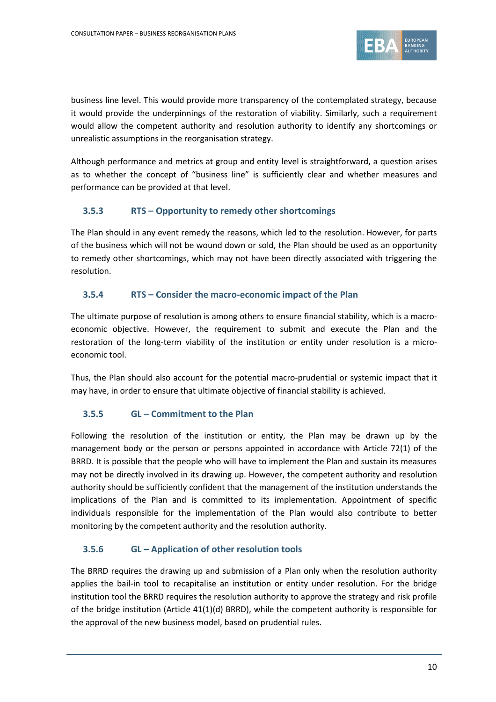

business line level. This would provide more transparency of the contemplated strategy, because it would provide the underpinnings of the restoration of viability. Similarly, such a requirement would allow the competent authority and resolution authority to identify any shortcomings or unrealistic assumptions in the reorganisation strategy.

Although performance and metrics at group and entity level is straightforward, a question arises as to whether the concept of "business line" is sufficiently clear and whether measures and performance can be provided at that level.

### **3.5.3 RTS – Opportunity to remedy other shortcomings**

The Plan should in any event remedy the reasons, which led to the resolution. However, for parts of the business which will not be wound down or sold, the Plan should be used as an opportunity to remedy other shortcomings, which may not have been directly associated with triggering the resolution.

### **3.5.4 RTS – Consider the macro-economic impact of the Plan**

The ultimate purpose of resolution is among others to ensure financial stability, which is a macroeconomic objective. However, the requirement to submit and execute the Plan and the restoration of the long-term viability of the institution or entity under resolution is a microeconomic tool.

Thus, the Plan should also account for the potential macro-prudential or systemic impact that it may have, in order to ensure that ultimate objective of financial stability is achieved.

#### **3.5.5 GL – Commitment to the Plan**

Following the resolution of the institution or entity, the Plan may be drawn up by the management body or the person or persons appointed in accordance with Article 72(1) of the BRRD. It is possible that the people who will have to implement the Plan and sustain its measures may not be directly involved in its drawing up. However, the competent authority and resolution authority should be sufficiently confident that the management of the institution understands the implications of the Plan and is committed to its implementation. Appointment of specific individuals responsible for the implementation of the Plan would also contribute to better monitoring by the competent authority and the resolution authority.

# **3.5.6 GL – Application of other resolution tools**

The BRRD requires the drawing up and submission of a Plan only when the resolution authority applies the bail-in tool to recapitalise an institution or entity under resolution. For the bridge institution tool the BRRD requires the resolution authority to approve the strategy and risk profile of the bridge institution (Article 41(1)(d) BRRD), while the competent authority is responsible for the approval of the new business model, based on prudential rules.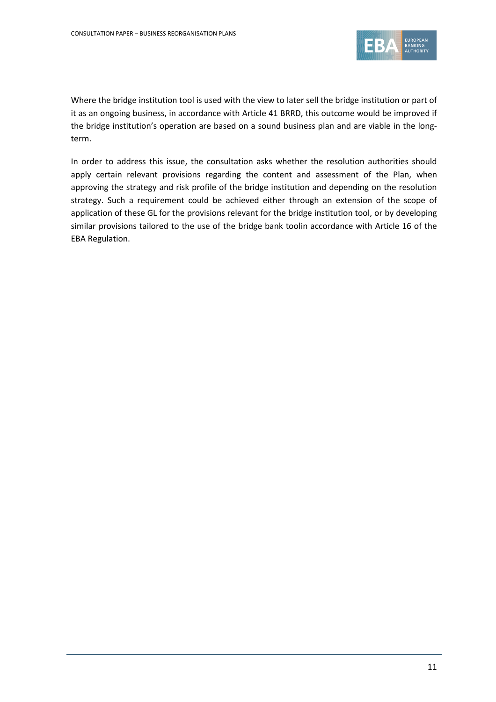

Where the bridge institution tool is used with the view to later sell the bridge institution or part of it as an ongoing business, in accordance with Article 41 BRRD, this outcome would be improved if the bridge institution's operation are based on a sound business plan and are viable in the longterm.

In order to address this issue, the consultation asks whether the resolution authorities should apply certain relevant provisions regarding the content and assessment of the Plan, when approving the strategy and risk profile of the bridge institution and depending on the resolution strategy. Such a requirement could be achieved either through an extension of the scope of application of these GL for the provisions relevant for the bridge institution tool, or by developing similar provisions tailored to the use of the bridge bank toolin accordance with Article 16 of the EBA Regulation.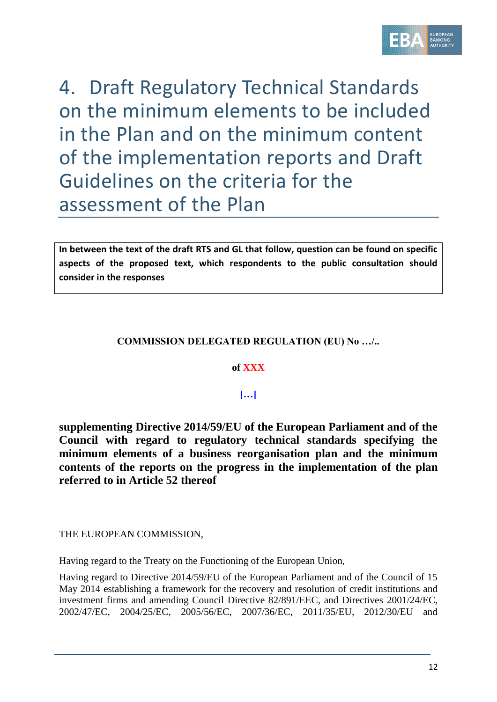

4. Draft Regulatory Technical Standards on the minimum elements to be included in the Plan and on the minimum content of the implementation reports and Draft Guidelines on the criteria for the assessment of the Plan

**In between the text of the draft RTS and GL that follow, question can be found on specific aspects of the proposed text, which respondents to the public consultation should consider in the responses**

# **COMMISSION DELEGATED REGULATION (EU) No …/..**

#### **of XXX**

# **[…]**

**supplementing Directive 2014/59/EU of the European Parliament and of the Council with regard to regulatory technical standards specifying the minimum elements of a business reorganisation plan and the minimum contents of the reports on the progress in the implementation of the plan referred to in Article 52 thereof**

THE EUROPEAN COMMISSION,

Having regard to the Treaty on the Functioning of the European Union,

Having regard to Directive 2014/59/EU of the European Parliament and of the Council of 15 May 2014 establishing a framework for the recovery and resolution of credit institutions and investment firms and amending Council Directive 82/891/EEC, and Directives 2001/24/EC, 2002/47/EC, 2004/25/EC, 2005/56/EC, 2007/36/EC, 2011/35/EU, 2012/30/EU and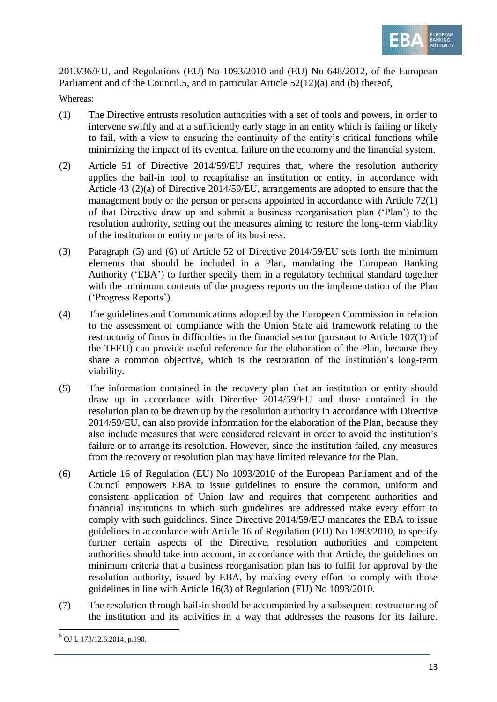

2013/36/EU, and Regulations (EU) No 1093/2010 and (EU) No 648/2012, of the European Parliament and of the Council.5, and in particular Article 52(12)(a) and (b) thereof,

Whereas:

- (1) The Directive entrusts resolution authorities with a set of tools and powers, in order to intervene swiftly and at a sufficiently early stage in an entity which is failing or likely to fail, with a view to ensuring the continuity of the entity's critical functions while minimizing the impact of its eventual failure on the economy and the financial system.
- (2) Article 51 of Directive 2014/59/EU requires that, where the resolution authority applies the bail-in tool to recapitalise an institution or entity, in accordance with Article 43 (2)(a) of Directive 2014/59/EU, arrangements are adopted to ensure that the management body or the person or persons appointed in accordance with Article 72(1) of that Directive draw up and submit a business reorganisation plan ('Plan') to the resolution authority, setting out the measures aiming to restore the long-term viability of the institution or entity or parts of its business.
- (3) Paragraph (5) and (6) of Article 52 of Directive 2014/59/EU sets forth the minimum elements that should be included in a Plan, mandating the European Banking Authority ('EBA') to further specify them in a regulatory technical standard together with the minimum contents of the progress reports on the implementation of the Plan ('Progress Reports').
- (4) The guidelines and Communications adopted by the European Commission in relation to the assessment of compliance with the Union State aid framework relating to the restructurig of firms in difficulties in the financial sector (pursuant to Article 107(1) of the TFEU) can provide useful reference for the elaboration of the Plan, because they share a common objective, which is the restoration of the institution's long-term viability.
- (5) The information contained in the recovery plan that an institution or entity should draw up in accordance with Directive 2014/59/EU and those contained in the resolution plan to be drawn up by the resolution authority in accordance with Directive 2014/59/EU, can also provide information for the elaboration of the Plan, because they also include measures that were considered relevant in order to avoid the institution's failure or to arrange its resolution. However, since the institution failed, any measures from the recovery or resolution plan may have limited relevance for the Plan.
- (6) Article 16 of Regulation (EU) No 1093/2010 of the European Parliament and of the Council empowers EBA to issue guidelines to ensure the common, uniform and consistent application of Union law and requires that competent authorities and financial institutions to which such guidelines are addressed make every effort to comply with such guidelines. Since Directive 2014/59/EU mandates the EBA to issue guidelines in accordance with Article 16 of Regulation (EU) No 1093/2010, to specify further certain aspects of the Directive, resolution authorities and competent authorities should take into account, in accordance with that Article, the guidelines on minimum criteria that a business reorganisation plan has to fulfil for approval by the resolution authority, issued by EBA, by making every effort to comply with those guidelines in line with Article 16(3) of Regulation (EU) No 1093/2010.
- (7) The resolution through bail-in should be accompanied by a subsequent restructuring of the institution and its activities in a way that addresses the reasons for its failure.

.

<sup>5</sup> OJ L 173/12.6.2014, p.190.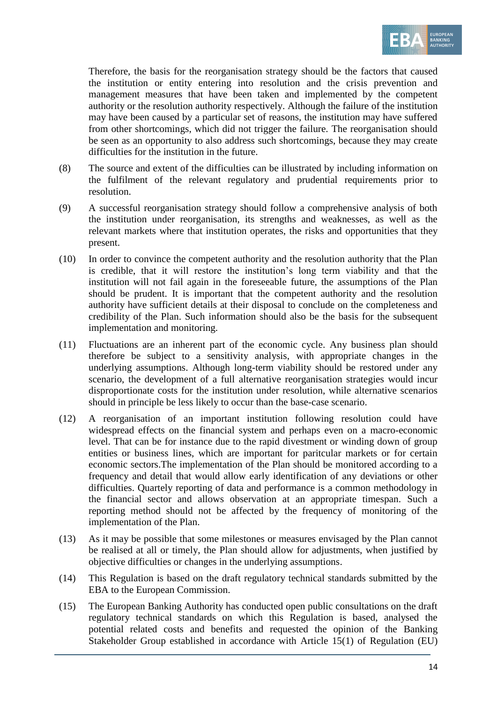

Therefore, the basis for the reorganisation strategy should be the factors that caused the institution or entity entering into resolution and the crisis prevention and management measures that have been taken and implemented by the competent authority or the resolution authority respectively. Although the failure of the institution may have been caused by a particular set of reasons, the institution may have suffered from other shortcomings, which did not trigger the failure. The reorganisation should be seen as an opportunity to also address such shortcomings, because they may create difficulties for the institution in the future.

- (8) The source and extent of the difficulties can be illustrated by including information on the fulfilment of the relevant regulatory and prudential requirements prior to resolution.
- (9) A successful reorganisation strategy should follow a comprehensive analysis of both the institution under reorganisation, its strengths and weaknesses, as well as the relevant markets where that institution operates, the risks and opportunities that they present.
- (10) In order to convince the competent authority and the resolution authority that the Plan is credible, that it will restore the institution's long term viability and that the institution will not fail again in the foreseeable future, the assumptions of the Plan should be prudent. It is important that the competent authority and the resolution authority have sufficient details at their disposal to conclude on the completeness and credibility of the Plan. Such information should also be the basis for the subsequent implementation and monitoring.
- (11) Fluctuations are an inherent part of the economic cycle. Any business plan should therefore be subject to a sensitivity analysis, with appropriate changes in the underlying assumptions. Although long-term viability should be restored under any scenario, the development of a full alternative reorganisation strategies would incur disproportionate costs for the institution under resolution, while alternative scenarios should in principle be less likely to occur than the base-case scenario.
- (12) A reorganisation of an important institution following resolution could have widespread effects on the financial system and perhaps even on a macro-economic level. That can be for instance due to the rapid divestment or winding down of group entities or business lines, which are important for paritcular markets or for certain economic sectors.The implementation of the Plan should be monitored according to a frequency and detail that would allow early identification of any deviations or other difficulties. Quartely reporting of data and performance is a common methodology in the financial sector and allows observation at an appropriate timespan. Such a reporting method should not be affected by the frequency of monitoring of the implementation of the Plan.
- (13) As it may be possible that some milestones or measures envisaged by the Plan cannot be realised at all or timely, the Plan should allow for adjustments, when justified by objective difficulties or changes in the underlying assumptions.
- (14) This Regulation is based on the draft regulatory technical standards submitted by the EBA to the European Commission.
- (15) The European Banking Authority has conducted open public consultations on the draft regulatory technical standards on which this Regulation is based, analysed the potential related costs and benefits and requested the opinion of the Banking Stakeholder Group established in accordance with Article 15(1) of Regulation (EU)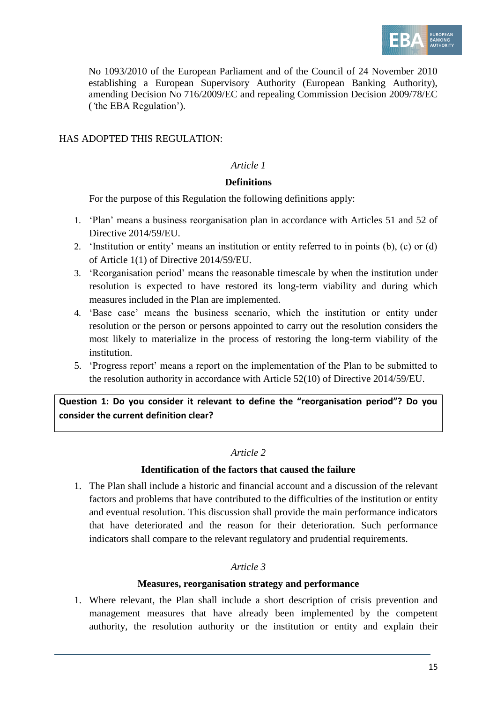

No 1093/2010 of the European Parliament and of the Council of 24 November 2010 establishing a European Supervisory Authority (European Banking Authority), amending Decision No 716/2009/EC and repealing Commission Decision 2009/78/EC (*'*the EBA Regulation').

### HAS ADOPTED THIS REGULATION·

## *Article 1*

#### **Definitions**

For the purpose of this Regulation the following definitions apply:

- 1. 'Plan' means a business reorganisation plan in accordance with Articles 51 and 52 of Directive 2014/59/EU.
- 2. 'Institution or entity' means an institution or entity referred to in points (b), (c) or (d) of Article 1(1) of Directive 2014/59/EU.
- 3. 'Reorganisation period' means the reasonable timescale by when the institution under resolution is expected to have restored its long-term viability and during which measures included in the Plan are implemented.
- 4. 'Base case' means the business scenario, which the institution or entity under resolution or the person or persons appointed to carry out the resolution considers the most likely to materialize in the process of restoring the long-term viability of the institution.
- 5. 'Progress report' means a report on the implementation of the Plan to be submitted to the resolution authority in accordance with Article 52(10) of Directive 2014/59/EU.

**Question 1: Do you consider it relevant to define the "reorganisation period"? Do you consider the current definition clear?**

# *Article 2*

# **Identification of the factors that caused the failure**

1. The Plan shall include a historic and financial account and a discussion of the relevant factors and problems that have contributed to the difficulties of the institution or entity and eventual resolution. This discussion shall provide the main performance indicators that have deteriorated and the reason for their deterioration. Such performance indicators shall compare to the relevant regulatory and prudential requirements.

# *Article 3*

#### **Measures, reorganisation strategy and performance**

1. Where relevant, the Plan shall include a short description of crisis prevention and management measures that have already been implemented by the competent authority, the resolution authority or the institution or entity and explain their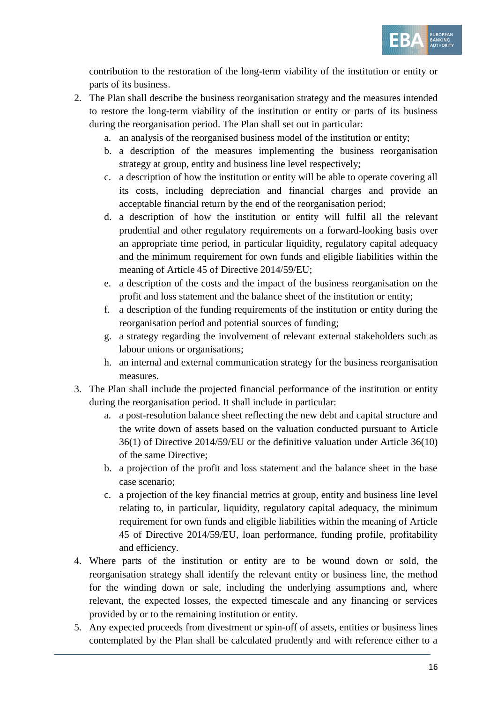

contribution to the restoration of the long-term viability of the institution or entity or parts of its business.

- 2. The Plan shall describe the business reorganisation strategy and the measures intended to restore the long-term viability of the institution or entity or parts of its business during the reorganisation period. The Plan shall set out in particular:
	- a. an analysis of the reorganised business model of the institution or entity;
	- b. a description of the measures implementing the business reorganisation strategy at group, entity and business line level respectively;
	- c. a description of how the institution or entity will be able to operate covering all its costs, including depreciation and financial charges and provide an acceptable financial return by the end of the reorganisation period;
	- d. a description of how the institution or entity will fulfil all the relevant prudential and other regulatory requirements on a forward-looking basis over an appropriate time period, in particular liquidity, regulatory capital adequacy and the minimum requirement for own funds and eligible liabilities within the meaning of Article 45 of Directive 2014/59/EU;
	- e. a description of the costs and the impact of the business reorganisation on the profit and loss statement and the balance sheet of the institution or entity;
	- f. a description of the funding requirements of the institution or entity during the reorganisation period and potential sources of funding;
	- g. a strategy regarding the involvement of relevant external stakeholders such as labour unions or organisations;
	- h. an internal and external communication strategy for the business reorganisation measures.
- 3. The Plan shall include the projected financial performance of the institution or entity during the reorganisation period. It shall include in particular:
	- a. a post-resolution balance sheet reflecting the new debt and capital structure and the write down of assets based on the valuation conducted pursuant to Article 36(1) of Directive 2014/59/EU or the definitive valuation under Article 36(10) of the same Directive;
	- b. a projection of the profit and loss statement and the balance sheet in the base case scenario;
	- c. a projection of the key financial metrics at group, entity and business line level relating to, in particular, liquidity, regulatory capital adequacy, the minimum requirement for own funds and eligible liabilities within the meaning of Article 45 of Directive 2014/59/EU, loan performance, funding profile, profitability and efficiency.
- 4. Where parts of the institution or entity are to be wound down or sold, the reorganisation strategy shall identify the relevant entity or business line, the method for the winding down or sale, including the underlying assumptions and, where relevant, the expected losses, the expected timescale and any financing or services provided by or to the remaining institution or entity.
- 5. Any expected proceeds from divestment or spin-off of assets, entities or business lines contemplated by the Plan shall be calculated prudently and with reference either to a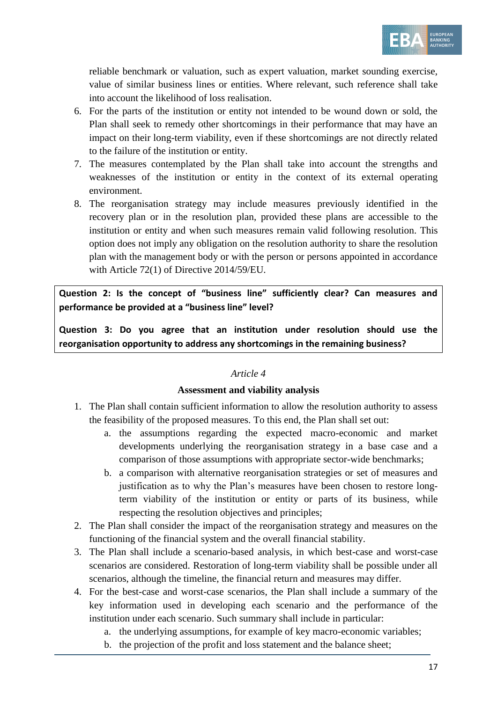

reliable benchmark or valuation, such as expert valuation, market sounding exercise, value of similar business lines or entities. Where relevant, such reference shall take into account the likelihood of loss realisation.

- 6. For the parts of the institution or entity not intended to be wound down or sold, the Plan shall seek to remedy other shortcomings in their performance that may have an impact on their long-term viability, even if these shortcomings are not directly related to the failure of the institution or entity.
- 7. The measures contemplated by the Plan shall take into account the strengths and weaknesses of the institution or entity in the context of its external operating environment.
- 8. The reorganisation strategy may include measures previously identified in the recovery plan or in the resolution plan, provided these plans are accessible to the institution or entity and when such measures remain valid following resolution. This option does not imply any obligation on the resolution authority to share the resolution plan with the management body or with the person or persons appointed in accordance with Article 72(1) of Directive 2014/59/EU.

**Question 2: Is the concept of "business line" sufficiently clear? Can measures and performance be provided at a "business line" level?**

**Question 3: Do you agree that an institution under resolution should use the reorganisation opportunity to address any shortcomings in the remaining business?**

#### *Article 4*

#### **Assessment and viability analysis**

- 1. The Plan shall contain sufficient information to allow the resolution authority to assess the feasibility of the proposed measures. To this end, the Plan shall set out:
	- a. the assumptions regarding the expected macro-economic and market developments underlying the reorganisation strategy in a base case and a comparison of those assumptions with appropriate sector-wide benchmarks;
	- b. a comparison with alternative reorganisation strategies or set of measures and justification as to why the Plan's measures have been chosen to restore longterm viability of the institution or entity or parts of its business, while respecting the resolution objectives and principles;
- 2. The Plan shall consider the impact of the reorganisation strategy and measures on the functioning of the financial system and the overall financial stability.
- 3. The Plan shall include a scenario-based analysis, in which best-case and worst-case scenarios are considered. Restoration of long-term viability shall be possible under all scenarios, although the timeline, the financial return and measures may differ.
- 4. For the best-case and worst-case scenarios, the Plan shall include a summary of the key information used in developing each scenario and the performance of the institution under each scenario. Such summary shall include in particular:
	- a. the underlying assumptions, for example of key macro-economic variables;
	- b. the projection of the profit and loss statement and the balance sheet;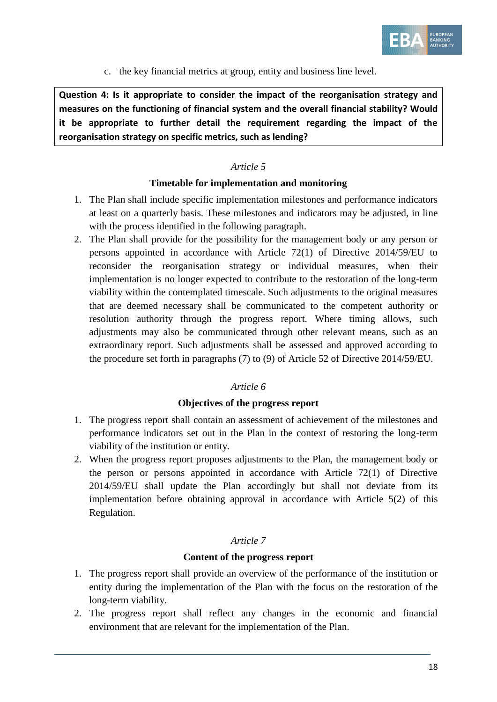

c. the key financial metrics at group, entity and business line level.

**Question 4: Is it appropriate to consider the impact of the reorganisation strategy and measures on the functioning of financial system and the overall financial stability? Would it be appropriate to further detail the requirement regarding the impact of the reorganisation strategy on specific metrics, such as lending?** 

## *Article 5*

#### **Timetable for implementation and monitoring**

- 1. The Plan shall include specific implementation milestones and performance indicators at least on a quarterly basis. These milestones and indicators may be adjusted, in line with the process identified in the following paragraph.
- 2. The Plan shall provide for the possibility for the management body or any person or persons appointed in accordance with Article 72(1) of Directive 2014/59/EU to reconsider the reorganisation strategy or individual measures, when their implementation is no longer expected to contribute to the restoration of the long-term viability within the contemplated timescale. Such adjustments to the original measures that are deemed necessary shall be communicated to the competent authority or resolution authority through the progress report. Where timing allows, such adjustments may also be communicated through other relevant means, such as an extraordinary report. Such adjustments shall be assessed and approved according to the procedure set forth in paragraphs (7) to (9) of Article 52 of Directive 2014/59/EU.

#### *Article 6*

#### **Objectives of the progress report**

- 1. The progress report shall contain an assessment of achievement of the milestones and performance indicators set out in the Plan in the context of restoring the long-term viability of the institution or entity.
- 2. When the progress report proposes adjustments to the Plan, the management body or the person or persons appointed in accordance with Article 72(1) of Directive 2014/59/EU shall update the Plan accordingly but shall not deviate from its implementation before obtaining approval in accordance with Article 5(2) of this Regulation.

#### *Article 7*

#### **Content of the progress report**

- 1. The progress report shall provide an overview of the performance of the institution or entity during the implementation of the Plan with the focus on the restoration of the long-term viability.
- 2. The progress report shall reflect any changes in the economic and financial environment that are relevant for the implementation of the Plan.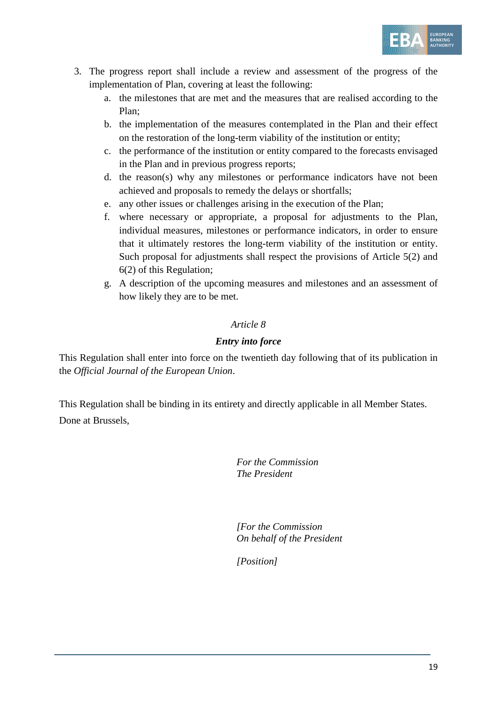

- 3. The progress report shall include a review and assessment of the progress of the implementation of Plan, covering at least the following:
	- a. the milestones that are met and the measures that are realised according to the Plan;
	- b. the implementation of the measures contemplated in the Plan and their effect on the restoration of the long-term viability of the institution or entity;
	- c. the performance of the institution or entity compared to the forecasts envisaged in the Plan and in previous progress reports;
	- d. the reason(s) why any milestones or performance indicators have not been achieved and proposals to remedy the delays or shortfalls;
	- e. any other issues or challenges arising in the execution of the Plan;
	- f. where necessary or appropriate, a proposal for adjustments to the Plan, individual measures, milestones or performance indicators, in order to ensure that it ultimately restores the long-term viability of the institution or entity. Such proposal for adjustments shall respect the provisions of Article 5(2) and 6(2) of this Regulation;
	- g. A description of the upcoming measures and milestones and an assessment of how likely they are to be met.

# *Article 8*

### *Entry into force*

This Regulation shall enter into force on the twentieth day following that of its publication in the *Official Journal of the European Union*.

This Regulation shall be binding in its entirety and directly applicable in all Member States. Done at Brussels,

> *For the Commission The President*

*[For the Commission On behalf of the President*

*[Position]*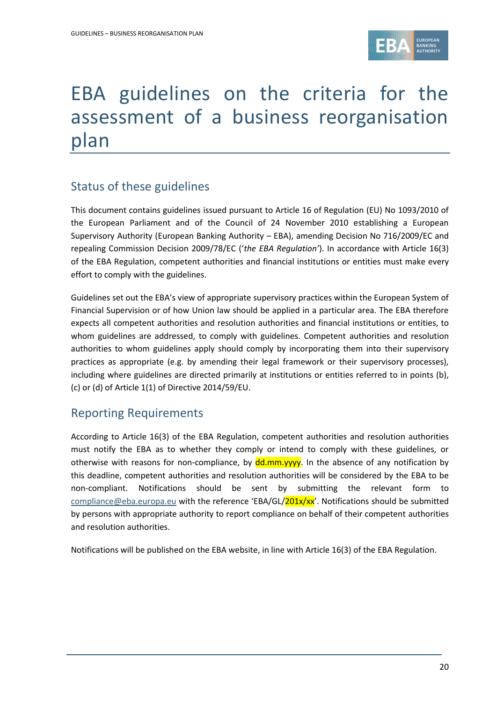

# EBA guidelines on the criteria for the assessment of a business reorganisation plan

# Status of these guidelines

This document contains guidelines issued pursuant to Article 16 of Regulation (EU) No 1093/2010 of the European Parliament and of the Council of 24 November 2010 establishing a European Supervisory Authority (European Banking Authority – EBA), amending Decision No 716/2009/EC and repealing Commission Decision 2009/78/EC ('*the EBA Regulation'*). In accordance with Article 16(3) of the EBA Regulation, competent authorities and financial institutions or entities must make every effort to comply with the guidelines.

Guidelines set out the EBA's view of appropriate supervisory practices within the European System of Financial Supervision or of how Union law should be applied in a particular area. The EBA therefore expects all competent authorities and resolution authorities and financial institutions or entities, to whom guidelines are addressed, to comply with guidelines. Competent authorities and resolution authorities to whom guidelines apply should comply by incorporating them into their supervisory practices as appropriate (e.g. by amending their legal framework or their supervisory processes), including where guidelines are directed primarily at institutions or entities referred to in points (b), (c) or (d) of Article 1(1) of Directive 2014/59/EU.

# Reporting Requirements

According to Article 16(3) of the EBA Regulation, competent authorities and resolution authorities must notify the EBA as to whether they comply or intend to comply with these guidelines, or otherwise with reasons for non-compliance, by  $\frac{dd \cdot m}{yyy}$ . In the absence of any notification by this deadline, competent authorities and resolution authorities will be considered by the EBA to be non-compliant. Notifications should be sent by submitting the relevant form to [compliance@eba.europa.eu](mailto:compliance@eba.europa.eu) with the reference 'EBA/GL/201x/xx'. Notifications should be submitted by persons with appropriate authority to report compliance on behalf of their competent authorities and resolution authorities.

Notifications will be published on the EBA website, in line with Article 16(3) of the EBA Regulation.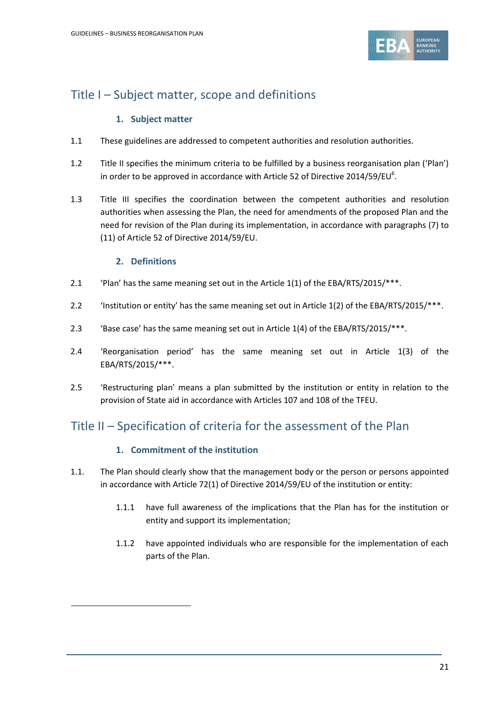

# Title I – Subject matter, scope and definitions

# **1. Subject matter**

- 1.1 These guidelines are addressed to competent authorities and resolution authorities.
- 1.2 Title II specifies the minimum criteria to be fulfilled by a business reorganisation plan ('Plan') in order to be approved in accordance with Article 52 of Directive 2014/59/EU $^{\rm 6}$ .
- 1.3 Title III specifies the coordination between the competent authorities and resolution authorities when assessing the Plan, the need for amendments of the proposed Plan and the need for revision of the Plan during its implementation, in accordance with paragraphs (7) to (11) of Article 52 of Directive 2014/59/EU.

### **2. Definitions**

1

- 2.1 'Plan' has the same meaning set out in the Article 1(1) of the EBA/RTS/2015/\*\*\*.
- 2.2 'Institution or entity' has the same meaning set out in Article 1(2) of the EBA/RTS/2015/\*\*\*.
- 2.3 'Base case' has the same meaning set out in Article 1(4) of the EBA/RTS/2015/\*\*\*.
- 2.4 'Reorganisation period' has the same meaning set out in Article 1(3) of the EBA/RTS/2015/\*\*\*.
- 2.5 'Restructuring plan' means a plan submitted by the institution or entity in relation to the provision of State aid in accordance with Articles 107 and 108 of the TFEU.

# Title II – Specification of criteria for the assessment of the Plan

#### **1. Commitment of the institution**

- 1.1. The Plan should clearly show that the management body or the person or persons appointed in accordance with Article 72(1) of Directive 2014/59/EU of the institution or entity:
	- 1.1.1 have full awareness of the implications that the Plan has for the institution or entity and support its implementation;
	- 1.1.2 have appointed individuals who are responsible for the implementation of each parts of the Plan.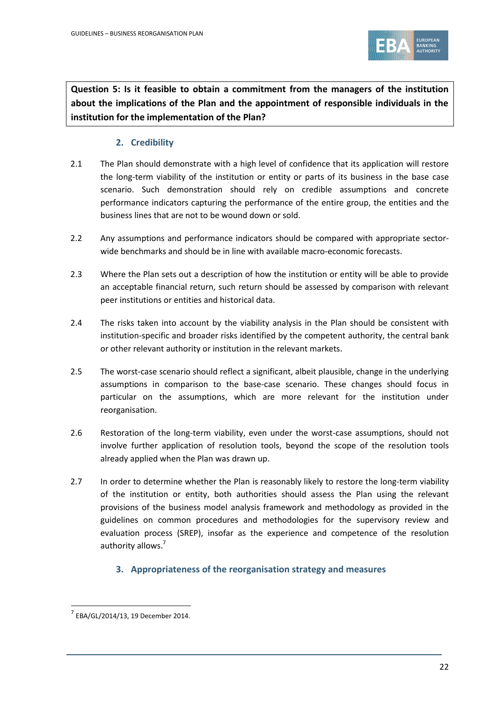

**Question 5: Is it feasible to obtain a commitment from the managers of the institution about the implications of the Plan and the appointment of responsible individuals in the institution for the implementation of the Plan?**

# **2. Credibility**

- 2.1 The Plan should demonstrate with a high level of confidence that its application will restore the long-term viability of the institution or entity or parts of its business in the base case scenario. Such demonstration should rely on credible assumptions and concrete performance indicators capturing the performance of the entire group, the entities and the business lines that are not to be wound down or sold.
- 2.2 Any assumptions and performance indicators should be compared with appropriate sectorwide benchmarks and should be in line with available macro-economic forecasts.
- 2.3 Where the Plan sets out a description of how the institution or entity will be able to provide an acceptable financial return, such return should be assessed by comparison with relevant peer institutions or entities and historical data.
- 2.4 The risks taken into account by the viability analysis in the Plan should be consistent with institution-specific and broader risks identified by the competent authority, the central bank or other relevant authority or institution in the relevant markets.
- 2.5 The worst-case scenario should reflect a significant, albeit plausible, change in the underlying assumptions in comparison to the base-case scenario. These changes should focus in particular on the assumptions, which are more relevant for the institution under reorganisation.
- 2.6 Restoration of the long-term viability, even under the worst-case assumptions, should not involve further application of resolution tools, beyond the scope of the resolution tools already applied when the Plan was drawn up.
- 2.7 In order to determine whether the Plan is reasonably likely to restore the long-term viability of the institution or entity, both authorities should assess the Plan using the relevant provisions of the business model analysis framework and methodology as provided in the guidelines on common procedures and methodologies for the supervisory review and evaluation process (SREP), insofar as the experience and competence of the resolution authority allows.<sup>7</sup>
	- **3. Appropriateness of the reorganisation strategy and measures**

1

<sup>7</sup> EBA/GL/2014/13, 19 December 2014.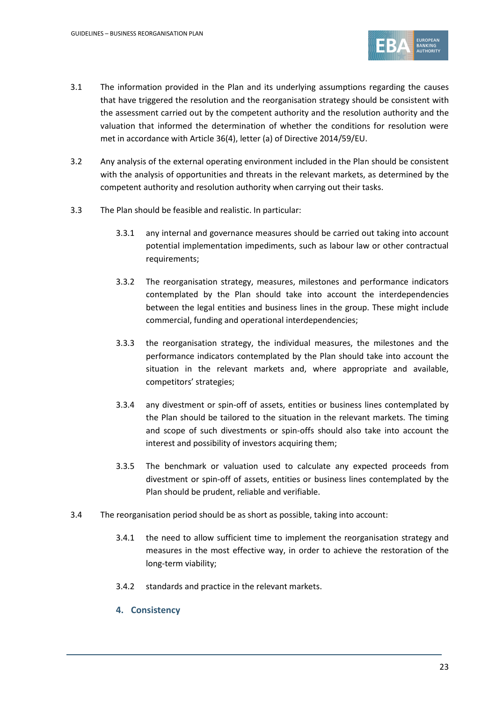

- 3.1 The information provided in the Plan and its underlying assumptions regarding the causes that have triggered the resolution and the reorganisation strategy should be consistent with the assessment carried out by the competent authority and the resolution authority and the valuation that informed the determination of whether the conditions for resolution were met in accordance with Article 36(4), letter (a) of Directive 2014/59/EU.
- 3.2 Any analysis of the external operating environment included in the Plan should be consistent with the analysis of opportunities and threats in the relevant markets, as determined by the competent authority and resolution authority when carrying out their tasks.
- 3.3 The Plan should be feasible and realistic. In particular:
	- 3.3.1 any internal and governance measures should be carried out taking into account potential implementation impediments, such as labour law or other contractual requirements;
	- 3.3.2 The reorganisation strategy, measures, milestones and performance indicators contemplated by the Plan should take into account the interdependencies between the legal entities and business lines in the group. These might include commercial, funding and operational interdependencies;
	- 3.3.3 the reorganisation strategy, the individual measures, the milestones and the performance indicators contemplated by the Plan should take into account the situation in the relevant markets and, where appropriate and available, competitors' strategies;
	- 3.3.4 any divestment or spin-off of assets, entities or business lines contemplated by the Plan should be tailored to the situation in the relevant markets. The timing and scope of such divestments or spin-offs should also take into account the interest and possibility of investors acquiring them;
	- 3.3.5 The benchmark or valuation used to calculate any expected proceeds from divestment or spin-off of assets, entities or business lines contemplated by the Plan should be prudent, reliable and verifiable.
- 3.4 The reorganisation period should be as short as possible, taking into account:
	- 3.4.1 the need to allow sufficient time to implement the reorganisation strategy and measures in the most effective way, in order to achieve the restoration of the long-term viability;
	- 3.4.2 standards and practice in the relevant markets.
	- **4. Consistency**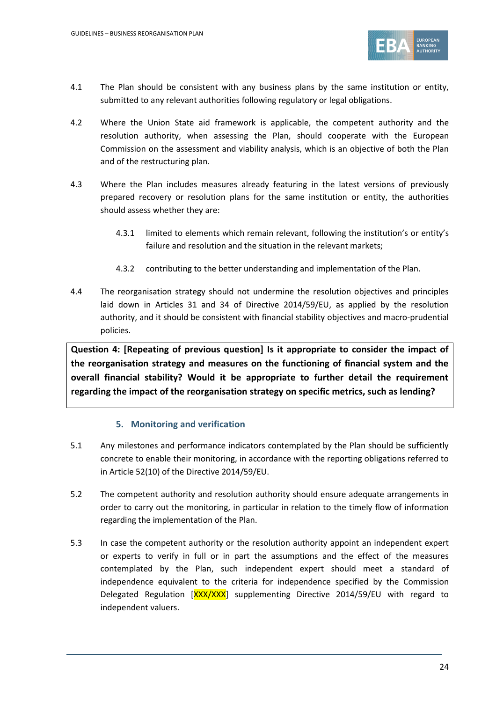

- 4.1 The Plan should be consistent with any business plans by the same institution or entity, submitted to any relevant authorities following regulatory or legal obligations.
- 4.2 Where the Union State aid framework is applicable, the competent authority and the resolution authority, when assessing the Plan, should cooperate with the European Commission on the assessment and viability analysis, which is an objective of both the Plan and of the restructuring plan.
- 4.3 Where the Plan includes measures already featuring in the latest versions of previously prepared recovery or resolution plans for the same institution or entity, the authorities should assess whether they are:
	- 4.3.1 limited to elements which remain relevant, following the institution's or entity's failure and resolution and the situation in the relevant markets;
	- 4.3.2 contributing to the better understanding and implementation of the Plan.
- 4.4 The reorganisation strategy should not undermine the resolution objectives and principles laid down in Articles 31 and 34 of Directive 2014/59/EU, as applied by the resolution authority, and it should be consistent with financial stability objectives and macro-prudential policies.

**Question 4: [Repeating of previous question] Is it appropriate to consider the impact of the reorganisation strategy and measures on the functioning of financial system and the overall financial stability? Would it be appropriate to further detail the requirement regarding the impact of the reorganisation strategy on specific metrics, such as lending?**

# **5. Monitoring and verification**

- 5.1 Any milestones and performance indicators contemplated by the Plan should be sufficiently concrete to enable their monitoring, in accordance with the reporting obligations referred to in Article 52(10) of the Directive 2014/59/EU.
- 5.2 The competent authority and resolution authority should ensure adequate arrangements in order to carry out the monitoring, in particular in relation to the timely flow of information regarding the implementation of the Plan.
- 5.3 In case the competent authority or the resolution authority appoint an independent expert or experts to verify in full or in part the assumptions and the effect of the measures contemplated by the Plan, such independent expert should meet a standard of independence equivalent to the criteria for independence specified by the Commission Delegated Regulation [XXX/XXX] supplementing Directive 2014/59/EU with regard to independent valuers.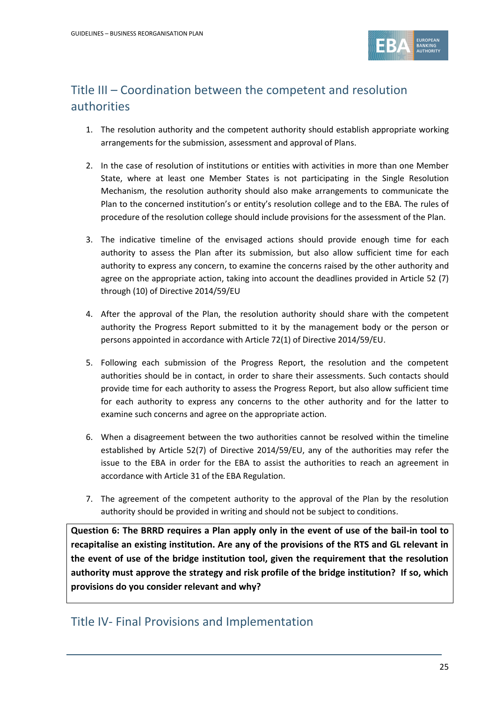

# Title III – Coordination between the competent and resolution authorities

- 1. The resolution authority and the competent authority should establish appropriate working arrangements for the submission, assessment and approval of Plans.
- 2. In the case of resolution of institutions or entities with activities in more than one Member State, where at least one Member States is not participating in the Single Resolution Mechanism, the resolution authority should also make arrangements to communicate the Plan to the concerned institution's or entity's resolution college and to the EBA. The rules of procedure of the resolution college should include provisions for the assessment of the Plan.
- 3. The indicative timeline of the envisaged actions should provide enough time for each authority to assess the Plan after its submission, but also allow sufficient time for each authority to express any concern, to examine the concerns raised by the other authority and agree on the appropriate action, taking into account the deadlines provided in Article 52 (7) through (10) of Directive 2014/59/EU
- 4. After the approval of the Plan, the resolution authority should share with the competent authority the Progress Report submitted to it by the management body or the person or persons appointed in accordance with Article 72(1) of Directive 2014/59/EU.
- 5. Following each submission of the Progress Report, the resolution and the competent authorities should be in contact, in order to share their assessments. Such contacts should provide time for each authority to assess the Progress Report, but also allow sufficient time for each authority to express any concerns to the other authority and for the latter to examine such concerns and agree on the appropriate action.
- 6. When a disagreement between the two authorities cannot be resolved within the timeline established by Article 52(7) of Directive 2014/59/EU, any of the authorities may refer the issue to the EBA in order for the EBA to assist the authorities to reach an agreement in accordance with Article 31 of the EBA Regulation.
- 7. The agreement of the competent authority to the approval of the Plan by the resolution authority should be provided in writing and should not be subject to conditions.

**Question 6: The BRRD requires a Plan apply only in the event of use of the bail-in tool to recapitalise an existing institution. Are any of the provisions of the RTS and GL relevant in the event of use of the bridge institution tool, given the requirement that the resolution authority must approve the strategy and risk profile of the bridge institution? If so, which provisions do you consider relevant and why?** 

# Title IV- Final Provisions and Implementation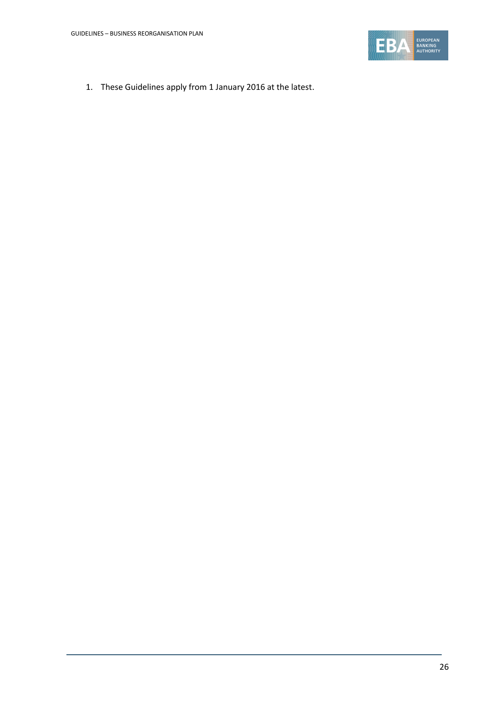

1. These Guidelines apply from 1 January 2016 at the latest.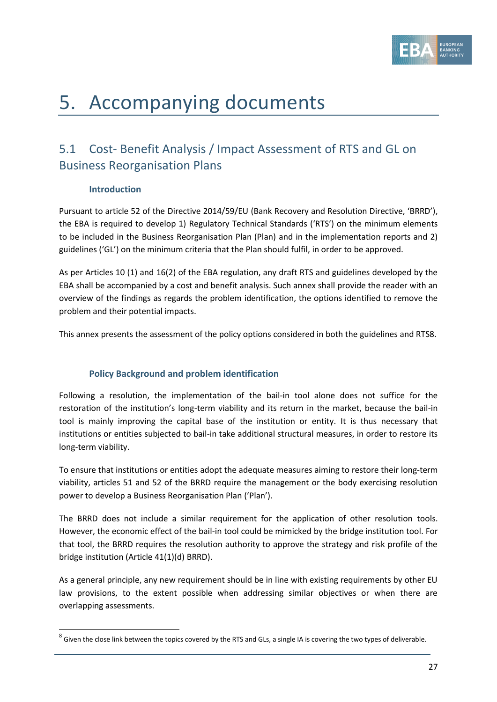

# 5. Accompanying documents

# 5.1 Cost- Benefit Analysis / Impact Assessment of RTS and GL on Business Reorganisation Plans

### **Introduction**

.

Pursuant to article 52 of the Directive 2014/59/EU (Bank Recovery and Resolution Directive, 'BRRD'), the EBA is required to develop 1) Regulatory Technical Standards ('RTS') on the minimum elements to be included in the Business Reorganisation Plan (Plan) and in the implementation reports and 2) guidelines ('GL') on the minimum criteria that the Plan should fulfil, in order to be approved.

As per Articles 10 (1) and 16(2) of the EBA regulation, any draft RTS and guidelines developed by the EBA shall be accompanied by a cost and benefit analysis. Such annex shall provide the reader with an overview of the findings as regards the problem identification, the options identified to remove the problem and their potential impacts.

This annex presents the assessment of the policy options considered in both the guidelines and RTS8.

# **Policy Background and problem identification**

Following a resolution, the implementation of the bail-in tool alone does not suffice for the restoration of the institution's long-term viability and its return in the market, because the bail-in tool is mainly improving the capital base of the institution or entity. It is thus necessary that institutions or entities subjected to bail-in take additional structural measures, in order to restore its long-term viability.

To ensure that institutions or entities adopt the adequate measures aiming to restore their long-term viability, articles 51 and 52 of the BRRD require the management or the body exercising resolution power to develop a Business Reorganisation Plan ('Plan').

The BRRD does not include a similar requirement for the application of other resolution tools. However, the economic effect of the bail-in tool could be mimicked by the bridge institution tool. For that tool, the BRRD requires the resolution authority to approve the strategy and risk profile of the bridge institution (Article 41(1)(d) BRRD).

As a general principle, any new requirement should be in line with existing requirements by other EU law provisions, to the extent possible when addressing similar objectives or when there are overlapping assessments.

 $^8$  Given the close link between the topics covered by the RTS and GLs, a single IA is covering the two types of deliverable.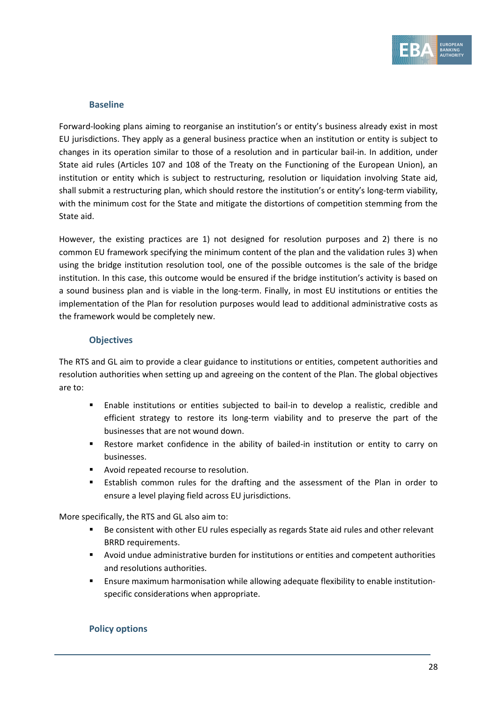

#### **Baseline**

Forward-looking plans aiming to reorganise an institution's or entity's business already exist in most EU jurisdictions. They apply as a general business practice when an institution or entity is subject to changes in its operation similar to those of a resolution and in particular bail-in. In addition, under State aid rules (Articles 107 and 108 of the Treaty on the Functioning of the European Union), an institution or entity which is subject to restructuring, resolution or liquidation involving State aid, shall submit a restructuring plan, which should restore the institution's or entity's long-term viability, with the minimum cost for the State and mitigate the distortions of competition stemming from the State aid.

However, the existing practices are 1) not designed for resolution purposes and 2) there is no common EU framework specifying the minimum content of the plan and the validation rules 3) when using the bridge institution resolution tool, one of the possible outcomes is the sale of the bridge institution. In this case, this outcome would be ensured if the bridge institution's activity is based on a sound business plan and is viable in the long-term. Finally, in most EU institutions or entities the implementation of the Plan for resolution purposes would lead to additional administrative costs as the framework would be completely new.

#### **Objectives**

The RTS and GL aim to provide a clear guidance to institutions or entities, competent authorities and resolution authorities when setting up and agreeing on the content of the Plan. The global objectives are to:

- Enable institutions or entities subjected to bail-in to develop a realistic, credible and efficient strategy to restore its long-term viability and to preserve the part of the businesses that are not wound down.
- Restore market confidence in the ability of bailed-in institution or entity to carry on businesses.
- **Avoid repeated recourse to resolution.**
- Establish common rules for the drafting and the assessment of the Plan in order to ensure a level playing field across EU jurisdictions.

More specifically, the RTS and GL also aim to:

- Be consistent with other EU rules especially as regards State aid rules and other relevant BRRD requirements.
- Avoid undue administrative burden for institutions or entities and competent authorities and resolutions authorities.
- Ensure maximum harmonisation while allowing adequate flexibility to enable institutionspecific considerations when appropriate.

#### **Policy options**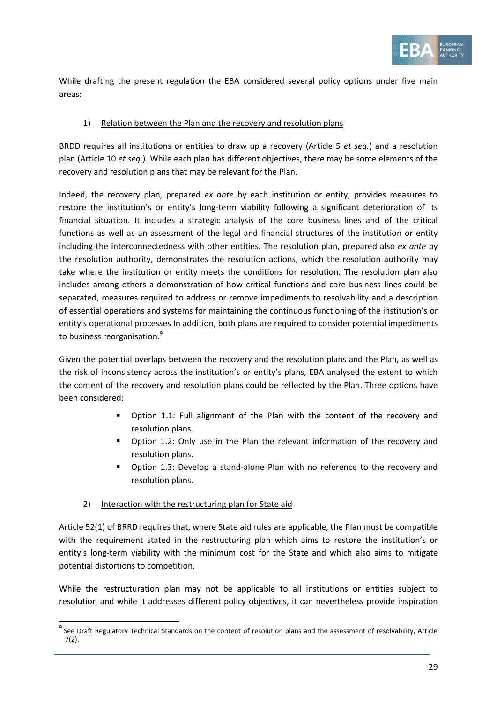

While drafting the present regulation the EBA considered several policy options under five main areas:

#### 1) Relation between the Plan and the recovery and resolution plans

BRDD requires all institutions or entities to draw up a recovery (Article 5 *et seq.*) and a resolution plan (Article 10 *et seq.*). While each plan has different objectives, there may be some elements of the recovery and resolution plans that may be relevant for the Plan.

Indeed, the recovery plan, prepared *ex ante* by each institution or entity, provides measures to restore the institution's or entity's long-term viability following a significant deterioration of its financial situation. It includes a strategic analysis of the core business lines and of the critical functions as well as an assessment of the legal and financial structures of the institution or entity including the interconnectedness with other entities. The resolution plan, prepared also *ex ante* by the resolution authority, demonstrates the resolution actions, which the resolution authority may take where the institution or entity meets the conditions for resolution. The resolution plan also includes among others a demonstration of how critical functions and core business lines could be separated, measures required to address or remove impediments to resolvability and a description of essential operations and systems for maintaining the continuous functioning of the institution's or entity's operational processes In addition, both plans are required to consider potential impediments to business reorganisation.<sup>9</sup>

Given the potential overlaps between the recovery and the resolution plans and the Plan, as well as the risk of inconsistency across the institution's or entity's plans, EBA analysed the extent to which the content of the recovery and resolution plans could be reflected by the Plan. Three options have been considered:

- Option 1.1: Full alignment of the Plan with the content of the recovery and resolution plans.
- Option 1.2: Only use in the Plan the relevant information of the recovery and resolution plans.
- Option 1.3: Develop a stand-alone Plan with no reference to the recovery and resolution plans.

#### 2) Interaction with the restructuring plan for State aid

1

Article 52(1) of BRRD requires that, where State aid rules are applicable, the Plan must be compatible with the requirement stated in the restructuring plan which aims to restore the institution's or entity's long-term viability with the minimum cost for the State and which also aims to mitigate potential distortions to competition.

While the restructuration plan may not be applicable to all institutions or entities subject to resolution and while it addresses different policy objectives, it can nevertheless provide inspiration

<sup>&</sup>lt;sup>9</sup> See Draft Regulatory Technical Standards on the content of resolution plans and the assessment of resolvability, Article 7(2).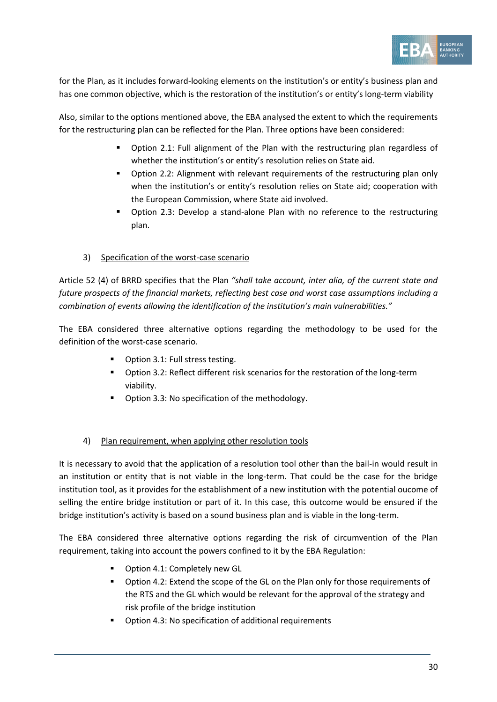

for the Plan, as it includes forward-looking elements on the institution's or entity's business plan and has one common objective, which is the restoration of the institution's or entity's long-term viability

Also, similar to the options mentioned above, the EBA analysed the extent to which the requirements for the restructuring plan can be reflected for the Plan. Three options have been considered:

- Option 2.1: Full alignment of the Plan with the restructuring plan regardless of whether the institution's or entity's resolution relies on State aid.
- Option 2.2: Alignment with relevant requirements of the restructuring plan only when the institution's or entity's resolution relies on State aid; cooperation with the European Commission, where State aid involved.
- Option 2.3: Develop a stand-alone Plan with no reference to the restructuring plan.

### 3) Specification of the worst-case scenario

Article 52 (4) of BRRD specifies that the Plan *"shall take account, inter alia, of the current state and future prospects of the financial markets, reflecting best case and worst case assumptions including a combination of events allowing the identification of the institution's main vulnerabilities."*

The EBA considered three alternative options regarding the methodology to be used for the definition of the worst-case scenario.

- Option 3.1: Full stress testing.
- **•** Option 3.2: Reflect different risk scenarios for the restoration of the long-term viability.
- **•** Option 3.3: No specification of the methodology.

#### 4) Plan requirement, when applying other resolution tools

It is necessary to avoid that the application of a resolution tool other than the bail-in would result in an institution or entity that is not viable in the long-term. That could be the case for the bridge institution tool, as it provides for the establishment of a new institution with the potential oucome of selling the entire bridge institution or part of it. In this case, this outcome would be ensured if the bridge institution's activity is based on a sound business plan and is viable in the long-term.

The EBA considered three alternative options regarding the risk of circumvention of the Plan requirement, taking into account the powers confined to it by the EBA Regulation:

- Option 4.1: Completely new GL
- Option 4.2: Extend the scope of the GL on the Plan only for those requirements of the RTS and the GL which would be relevant for the approval of the strategy and risk profile of the bridge institution
- Option 4.3: No specification of additional requirements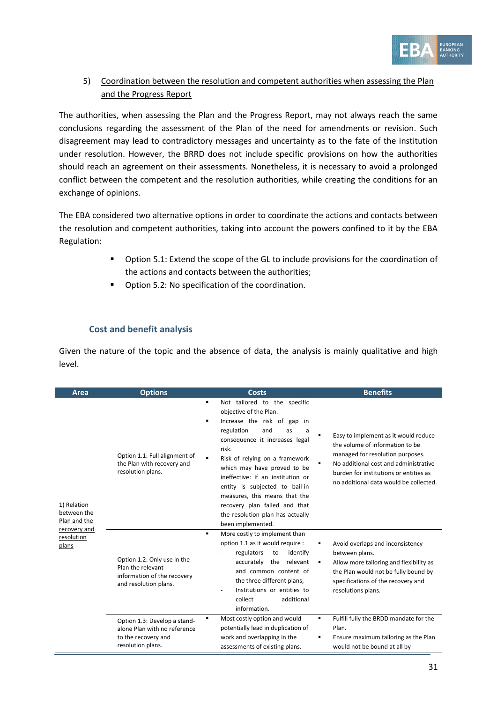

# 5) Coordination between the resolution and competent authorities when assessing the Plan and the Progress Report

The authorities, when assessing the Plan and the Progress Report, may not always reach the same conclusions regarding the assessment of the Plan of the need for amendments or revision. Such disagreement may lead to contradictory messages and uncertainty as to the fate of the institution under resolution. However, the BRRD does not include specific provisions on how the authorities should reach an agreement on their assessments. Nonetheless, it is necessary to avoid a prolonged conflict between the competent and the resolution authorities, while creating the conditions for an exchange of opinions.

The EBA considered two alternative options in order to coordinate the actions and contacts between the resolution and competent authorities, taking into account the powers confined to it by the EBA Regulation:

- Option 5.1: Extend the scope of the GL to include provisions for the coordination of the actions and contacts between the authorities;
- **•** Option 5.2: No specification of the coordination.

#### **Cost and benefit analysis**

Given the nature of the topic and the absence of data, the analysis is mainly qualitative and high level.

| Area                                                       | <b>Options</b>                                                                                           | Costs                                                                                                                                                                                                                                                                                                                                                                                                                                                           | <b>Benefits</b>                                                                                                                                                                                                                          |
|------------------------------------------------------------|----------------------------------------------------------------------------------------------------------|-----------------------------------------------------------------------------------------------------------------------------------------------------------------------------------------------------------------------------------------------------------------------------------------------------------------------------------------------------------------------------------------------------------------------------------------------------------------|------------------------------------------------------------------------------------------------------------------------------------------------------------------------------------------------------------------------------------------|
| 1) Relation<br>between the<br>Plan and the<br>recovery and | Option 1.1: Full alignment of<br>the Plan with recovery and<br>resolution plans.                         | Not tailored to the specific<br>٠<br>objective of the Plan.<br>Increase the risk of gap in<br>٠<br>regulation<br>and<br>as<br>a<br>consequence it increases legal<br>risk.<br>Risk of relying on a framework<br>$\blacksquare$<br>which may have proved to be<br>ineffective: if an institution or<br>entity is subjected to bail-in<br>measures, this means that the<br>recovery plan failed and that<br>the resolution plan has actually<br>been implemented. | Easy to implement as it would reduce<br>the volume of information to be<br>managed for resolution purposes.<br>No additional cost and administrative<br>burden for institutions or entities as<br>no additional data would be collected. |
| resolution<br>plans                                        | Option 1.2: Only use in the<br>Plan the relevant<br>information of the recovery<br>and resolution plans. | More costly to implement than<br>$\blacksquare$<br>option 1.1 as it would require :<br>regulators<br>to<br>identify<br>accurately the relevant<br>and common content of<br>the three different plans;<br>Institutions or entities to<br>$\overline{a}$<br>collect<br>additional<br>information.                                                                                                                                                                 | Avoid overlaps and inconsistency<br>between plans.<br>Allow more tailoring and flexibility as<br>٠<br>the Plan would not be fully bound by<br>specifications of the recovery and<br>resolutions plans.                                   |
|                                                            | Option 1.3: Develop a stand-<br>alone Plan with no reference<br>to the recovery and<br>resolution plans. | Most costly option and would<br>٠<br>potentially lead in duplication of<br>work and overlapping in the<br>assessments of existing plans.                                                                                                                                                                                                                                                                                                                        | Fulfill fully the BRDD mandate for the<br>٠<br>Plan.<br>Ensure maximum tailoring as the Plan<br>would not be bound at all by                                                                                                             |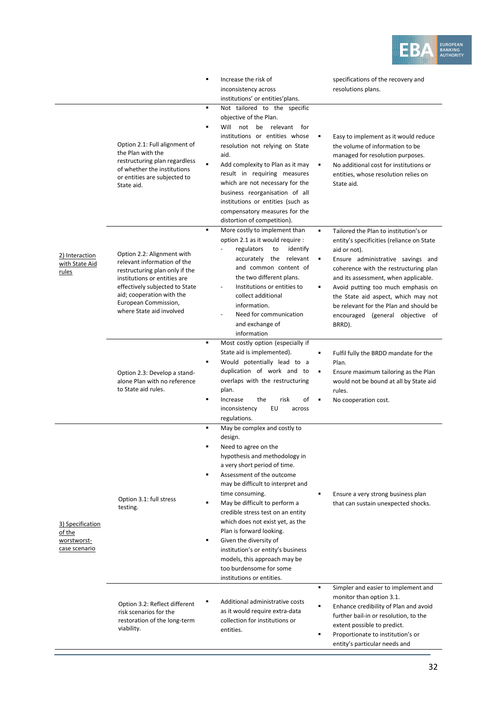

|                                                            |                                                                                                                                                                                                                                                | Increase the risk of<br>$\blacksquare$<br>inconsistency across<br>institutions' or entities' plans.                                                                                                                                                                                                                                                                                                                                                                                                                                             | specifications of the recovery and<br>resolutions plans.                                                                                                                                                                                                                                                                                                                                                     |
|------------------------------------------------------------|------------------------------------------------------------------------------------------------------------------------------------------------------------------------------------------------------------------------------------------------|-------------------------------------------------------------------------------------------------------------------------------------------------------------------------------------------------------------------------------------------------------------------------------------------------------------------------------------------------------------------------------------------------------------------------------------------------------------------------------------------------------------------------------------------------|--------------------------------------------------------------------------------------------------------------------------------------------------------------------------------------------------------------------------------------------------------------------------------------------------------------------------------------------------------------------------------------------------------------|
|                                                            | Option 2.1: Full alignment of<br>the Plan with the<br>restructuring plan regardless<br>of whether the institutions<br>or entities are subjected to<br>State aid.                                                                               | Not tailored to the specific<br>$\blacksquare$<br>objective of the Plan.<br>Will not be relevant<br>$\blacksquare$<br>for<br>institutions or entities whose<br>resolution not relying on State<br>aid.<br>$\blacksquare$<br>Add complexity to Plan as it may<br>result in requiring measures<br>which are not necessary for the<br>business reorganisation of all<br>institutions or entities (such as<br>compensatory measures for the<br>distortion of competition).                                                                          | Easy to implement as it would reduce<br>٠<br>the volume of information to be<br>managed for resolution purposes.<br>No additional cost for institutions or<br>٠<br>entities, whose resolution relies on<br>State aid.                                                                                                                                                                                        |
| 2) Interaction<br>with State Aid<br>rules                  | Option 2.2: Alignment with<br>relevant information of the<br>restructuring plan only if the<br>institutions or entities are<br>effectively subjected to State<br>aid; cooperation with the<br>European Commission,<br>where State aid involved | $\blacksquare$<br>More costly to implement than<br>option 2.1 as it would require :<br>regulators<br>identify<br>to<br>accurately the relevant<br>and common content of<br>the two different plans.<br>Institutions or entities to<br>collect additional<br>information.<br>Need for communication<br>and exchange of<br>information                                                                                                                                                                                                            | ٠<br>Tailored the Plan to institution's or<br>entity's specificities (reliance on State<br>aid or not).<br>Ensure administrative savings and<br>٠<br>coherence with the restructuring plan<br>and its assessment, when applicable.<br>Avoid putting too much emphasis on<br>٠<br>the State aid aspect, which may not<br>be relevant for the Plan and should be<br>encouraged (general objective of<br>BRRD). |
|                                                            | Option 2.3: Develop a stand-<br>alone Plan with no reference<br>to State aid rules.                                                                                                                                                            | Most costly option (especially if<br>$\blacksquare$<br>State aid is implemented).<br>Would potentially lead to a<br>٠<br>duplication of work and to<br>overlaps with the restructuring<br>plan.<br>$\blacksquare$<br>Increase<br>risk<br>the<br>οf<br>EU<br>inconsistency<br>across<br>regulations.                                                                                                                                                                                                                                             | Fulfil fully the BRDD mandate for the<br>٠<br>Plan.<br>٠<br>Ensure maximum tailoring as the Plan<br>would not be bound at all by State aid<br>rules.<br>No cooperation cost.<br>٠                                                                                                                                                                                                                            |
| 3) Specification<br>of the<br>worstworst-<br>case scenario | Option 3.1: full stress<br>testing.                                                                                                                                                                                                            | May be complex and costly to<br>design.<br>Need to agree on the<br>hypothesis and methodology in<br>a very short period of time.<br>Assessment of the outcome<br>٠<br>may be difficult to interpret and<br>time consuming.<br>May be difficult to perform a<br>$\blacksquare$<br>credible stress test on an entity<br>which does not exist yet, as the<br>Plan is forward looking.<br>Given the diversity of<br>٠<br>institution's or entity's business<br>models, this approach may be<br>too burdensome for some<br>institutions or entities. | Ensure a very strong business plan<br>that can sustain unexpected shocks.                                                                                                                                                                                                                                                                                                                                    |
|                                                            | Option 3.2: Reflect different<br>risk scenarios for the<br>restoration of the long-term<br>viability.                                                                                                                                          | Additional administrative costs<br>as it would require extra-data<br>collection for institutions or<br>entities.                                                                                                                                                                                                                                                                                                                                                                                                                                | ٠<br>Simpler and easier to implement and<br>monitor than option 3.1.<br>$\blacksquare$<br>Enhance credibility of Plan and avoid<br>further bail-in or resolution, to the<br>extent possible to predict.<br>Proportionate to institution's or<br>entity's particular needs and                                                                                                                                |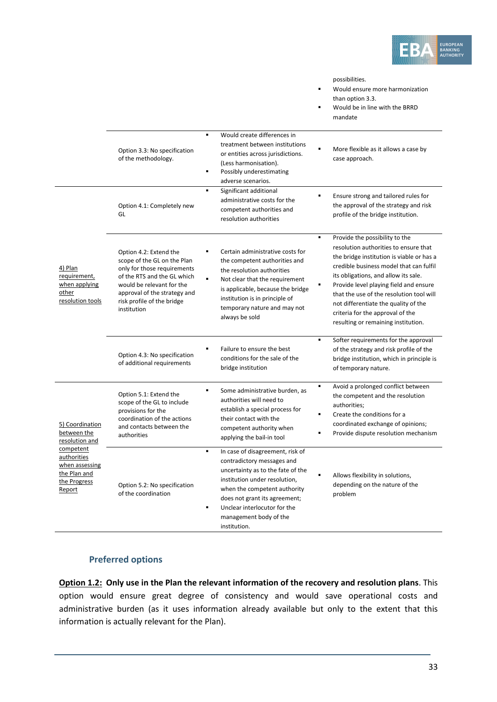

possibilities.

| ٠ | Would ensure more harmonization |
|---|---------------------------------|
|   | than option 3.3.                |
| ٠ | Would be in line with the BRRD  |

mandate

|                                                                                             | Option 3.3: No specification<br>of the methodology.<br>Option 4.1: Completely new<br>GL                                                                                                                                       | Would create differences in<br>$\blacksquare$<br>treatment between institutions<br>or entities across jurisdictions.<br>(Less harmonisation).<br>$\blacksquare$<br>Possibly underestimating<br>adverse scenarios.<br>Significant additional<br>$\blacksquare$<br>administrative costs for the<br>competent authorities and | More flexible as it allows a case by<br>case approach.<br>Ensure strong and tailored rules for<br>٠<br>the approval of the strategy and risk<br>profile of the bridge institution.                                                                                                                                                                                                          |
|---------------------------------------------------------------------------------------------|-------------------------------------------------------------------------------------------------------------------------------------------------------------------------------------------------------------------------------|----------------------------------------------------------------------------------------------------------------------------------------------------------------------------------------------------------------------------------------------------------------------------------------------------------------------------|---------------------------------------------------------------------------------------------------------------------------------------------------------------------------------------------------------------------------------------------------------------------------------------------------------------------------------------------------------------------------------------------|
| 4) Plan<br>requirement,<br>when applying<br>other<br>resolution tools                       | Option 4.2: Extend the<br>scope of the GL on the Plan<br>only for those requirements<br>of the RTS and the GL which<br>would be relevant for the<br>approval of the strategy and<br>risk profile of the bridge<br>institution | resolution authorities<br>Certain administrative costs for<br>the competent authorities and<br>the resolution authorities<br>$\blacksquare$<br>Not clear that the requirement<br>is applicable, because the bridge<br>institution is in principle of<br>temporary nature and may not<br>always be sold                     | Provide the possibility to the<br>$\blacksquare$<br>resolution authorities to ensure that<br>the bridge institution is viable or has a<br>credible business model that can fulfil<br>its obligations, and allow its sale.<br>Provide level playing field and ensure<br>that the use of the resolution tool will<br>not differentiate the quality of the<br>criteria for the approval of the |
|                                                                                             | Option 4.3: No specification<br>of additional requirements                                                                                                                                                                    | Failure to ensure the best<br>conditions for the sale of the<br>bridge institution                                                                                                                                                                                                                                         | resulting or remaining institution.<br>Softer requirements for the approval<br>$\blacksquare$<br>of the strategy and risk profile of the<br>bridge institution, which in principle is<br>of temporary nature.                                                                                                                                                                               |
| 5) Coordination<br>between the<br>resolution and                                            | Option 5.1: Extend the<br>scope of the GL to include<br>provisions for the<br>coordination of the actions<br>and contacts between the<br>authorities                                                                          | $\blacksquare$<br>Some administrative burden, as<br>authorities will need to<br>establish a special process for<br>their contact with the<br>competent authority when<br>applying the bail-in tool                                                                                                                         | Avoid a prolonged conflict between<br>$\blacksquare$<br>the competent and the resolution<br>authorities;<br>Create the conditions for a<br>coordinated exchange of opinions;<br>Provide dispute resolution mechanism                                                                                                                                                                        |
| competent<br>authorities<br>when assessing<br>the Plan and<br>the Progress<br><b>Report</b> | Option 5.2: No specification<br>of the coordination                                                                                                                                                                           | $\blacksquare$<br>In case of disagreement, risk of<br>contradictory messages and<br>uncertainty as to the fate of the<br>institution under resolution,<br>when the competent authority<br>does not grant its agreement;<br>Unclear interlocutor for the<br>$\blacksquare$<br>management body of the<br>institution.        | Allows flexibility in solutions,<br>depending on the nature of the<br>problem                                                                                                                                                                                                                                                                                                               |

#### **Preferred options**

**Option 1.2: Only use in the Plan the relevant information of the recovery and resolution plans**. This option would ensure great degree of consistency and would save operational costs and administrative burden (as it uses information already available but only to the extent that this information is actually relevant for the Plan).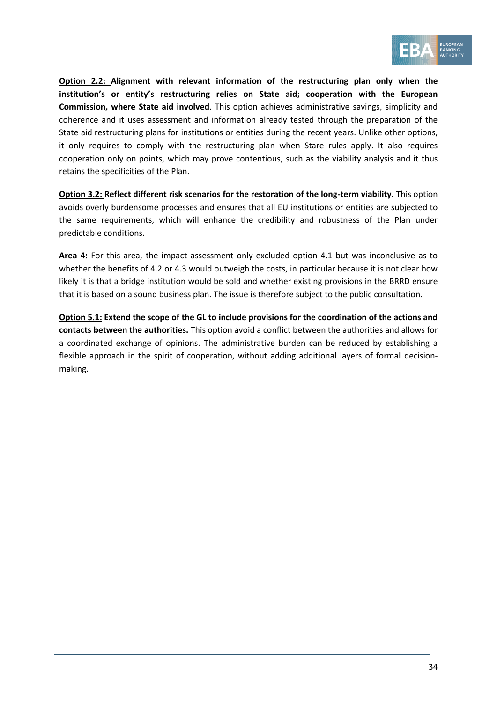

**Option 2.2: Alignment with relevant information of the restructuring plan only when the institution's or entity's restructuring relies on State aid; cooperation with the European Commission, where State aid involved**. This option achieves administrative savings, simplicity and coherence and it uses assessment and information already tested through the preparation of the State aid restructuring plans for institutions or entities during the recent years. Unlike other options, it only requires to comply with the restructuring plan when Stare rules apply. It also requires cooperation only on points, which may prove contentious, such as the viability analysis and it thus retains the specificities of the Plan.

**Option 3.2: Reflect different risk scenarios for the restoration of the long-term viability.** This option avoids overly burdensome processes and ensures that all EU institutions or entities are subjected to the same requirements, which will enhance the credibility and robustness of the Plan under predictable conditions.

**Area 4:** For this area, the impact assessment only excluded option 4.1 but was inconclusive as to whether the benefits of 4.2 or 4.3 would outweigh the costs, in particular because it is not clear how likely it is that a bridge institution would be sold and whether existing provisions in the BRRD ensure that it is based on a sound business plan. The issue is therefore subject to the public consultation.

**Option 5.1: Extend the scope of the GL to include provisions for the coordination of the actions and contacts between the authorities.** This option avoid a conflict between the authorities and allows for a coordinated exchange of opinions. The administrative burden can be reduced by establishing a flexible approach in the spirit of cooperation, without adding additional layers of formal decisionmaking.